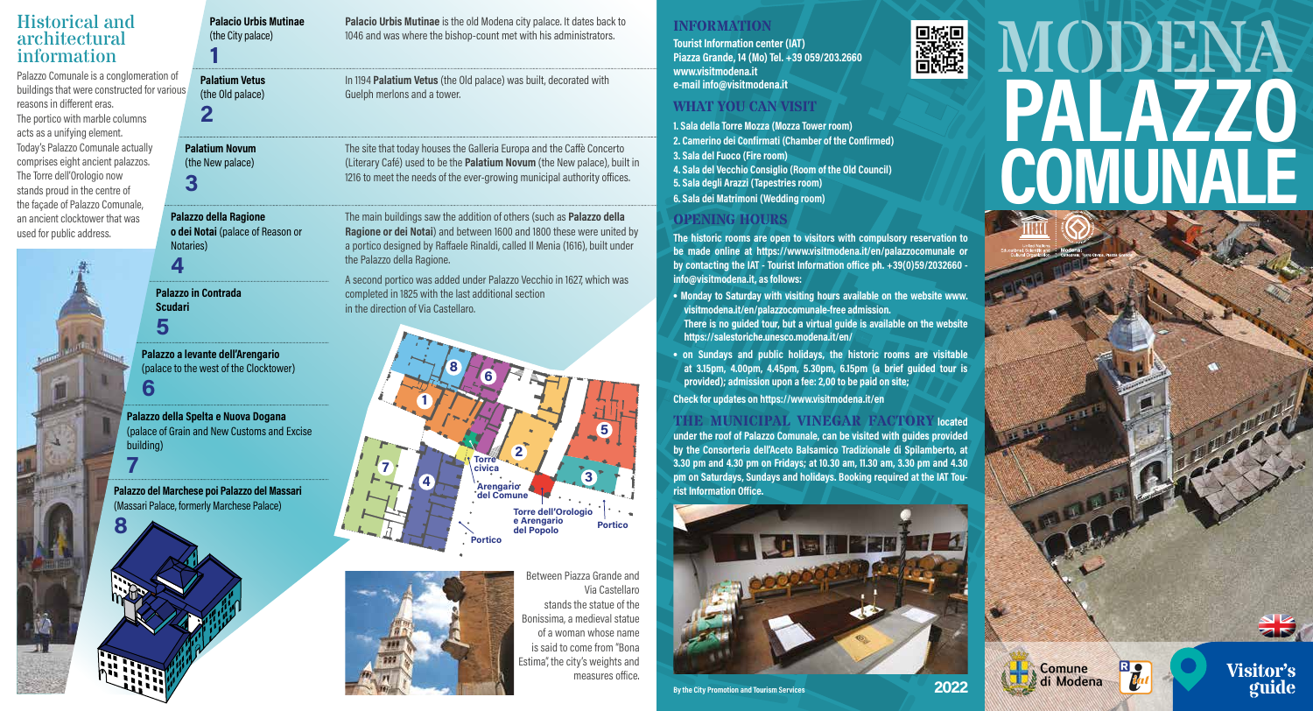# Historical and architectural information

Palazzo Comunale is a conglomeration of buildings that were constructed for various reasons in different eras. The portico with marble columns acts as a unifying element. Today's Palazzo Comunale actually comprises eight ancient palazzos. The Torre dell'Orologio now stands proud in the centre of the façade of Palazzo Comunale, an ancient clocktower that was used for public address.



**Palacio Urbis Mutinae** (the City palace) **1 Palatium Novum** (the New palace) **3 Palatium Vetus** (the Old palace) **2**

**Palazzo della Ragione o dei Notai** (palace of Reason or Notaries)

**Palazzo in Contrada Scudari** 

**Palazzo a levante dell'Arengario** (palace to the west of the Clocktower)

**6**

**5**

**4**

**7**

**Palazzo della Spelta e Nuova Dogana** (palace of Grain and New Customs and Excise building)

**Palazzo del Marchese poi Palazzo del Massari**  (Massari Palace, formerly Marchese Palace)

**Palacio Urbis Mutinae** is the old Modena city palace. It dates back to 1046 and was where the bishop-count met with his administrators.

In 1194 **Palatium Vetus** (the Old palace) was built, decorated with Guelph merlons and a tower.

The site that today houses the Galleria Europa and the Caffè Concerto (Literary Café) used to be the **Palatium Novum** (the New palace), built in 1216 to meet the needs of the ever-growing municipal authority offices.

The main buildings saw the addition of others (such as **Palazzo della Ragione or dei Notai**) and between 1600 and 1800 these were united by a portico designed by Raffaele Rinaldi, called Il Menia (1616), built under the Palazzo della Ragione.

A second portico was added under Palazzo Vecchio in 1627, which was completed in 1825 with the last additional section in the direction of Via Castellaro.





Between Piazza Grande and Via Castellaro stands the statue of the Bonissima, a medieval statue of a woman whose name is said to come from "Bona Estima", the city's weights and measures office.

#### **INFORMATION**

**Tourist Information center (IAT) Piazza Grande, 14 (Mo) Tel. +39 059/203.2660 www.visitmodena.it e-mail info@visitmodena.it**

### **WHAT YOU CAN VISIT**

**1. Sala della Torre Mozza (Mozza Tower room) 2. Camerino dei Confirmati (Chamber of the Confirmed) 3. Sala del Fuoco (Fire room) 4. Sala del Vecchio Consiglio (Room of the Old Council) 5. Sala degli Arazzi (Tapestries room) 6. Sala dei Matrimoni (Wedding room)**

# **OPENING HOURS**

**The historic rooms are open to visitors with compulsory reservation to be made online at https://www.visitmodena.it/en/palazzocomunale or by contacting the IAT - Tourist Information office ph. +39(0)59/2032660 info@visitmodena.it, as follows:**

- **Monday to Saturday with visiting hours available on the website www. visitmodena.it/en/palazzocomunale-free admission. There is no guided tour, but a virtual guide is available on the website https://salestoriche.unesco.modena.it/en/**
- **on Sundays and public holidays, the historic rooms are visitable at 3.15pm, 4.00pm, 4.45pm, 5.30pm, 6.15pm (a brief guided tour is provided); admission upon a fee: 2,00 to be paid on site;**

**Check for updates on https://www.visitmodena.it/en**

#### **THE MUNICIPAL VINEGAR FACTORY located**

**under the roof of Palazzo Comunale, can be visited with guides provided by the Consorteria dell'Aceto Balsamico Tradizionale di Spilamberto, at 3.30 pm and 4.30 pm on Fridays; at 10.30 am, 11.30 am, 3.30 pm and 4.30 pm on Saturdays, Sundays and holidays. Booking required at the IAT Tourist Information Office.**





Comune di Modena

▓

# MODENA **PALAZZO COMUNALE**

**Visitor's**

**guide**